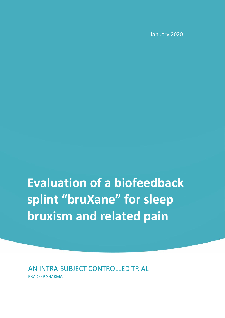January 2020

**Evaluation of a biofeedback splint "bruXane" for sleep bruxism and related pain**

AN INTRA-SUBJECT CONTROLLED TRIAL PRADEEP SHARMA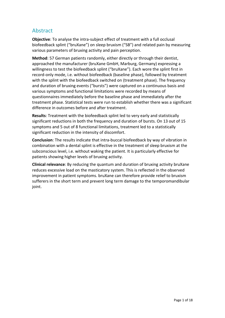# **Abstract**

**Objective**: To analyse the intra-subject effect of treatment with a full occlusal biofeedback splint ("bruXane") on sleep bruxism ("SB") and related pain by measuring various parameters of bruxing activity and pain perception.

**Method**: 57 German patients randomly, either directly or through their dentist, approached the manufacturer (bruXane GmbH, Marburg, Germany) expressing a willingness to test the biofeedback splint ("bruXane"). Each wore the splint first in record-only mode, i.e. without biofeedback (baseline phase), followed by treatment with the splint with the biofeedback switched on (treatment phase). The frequency and duration of bruxing events ("bursts") were captured on a continuous basis and various symptoms and functional limitations were recorded by means of questionnaires immediately before the baseline phase and immediately after the treatment phase. Statistical tests were run to establish whether there was a significant difference in outcomes before and after treatment.

**Results**: Treatment with the biofeedback splint led to very early and statistically significant reductions in both the frequency and duration of bursts. On 13 out of 15 symptoms and 5 out of 8 functional limitations, treatment led to a statistically significant reduction in the intensity of discomfort.

**Conclusion**: The results indicate that intra-buccal biofeedback by way of vibration in combination with a dental splint is effective in the treatment of sleep bruxism at the subconscious level, i.e. without waking the patient. It is particularly effective for patients showing higher levels of bruxing activity.

**Clinical relevance**: By reducing the quantum and duration of bruxing activity bruXane reduces excessive load on the masticatory system. This is reflected in the observed improvement in patient symptoms. bruXane can therefore provide relief to bruxism sufferers in the short term and prevent long term damage to the temporomandibular joint.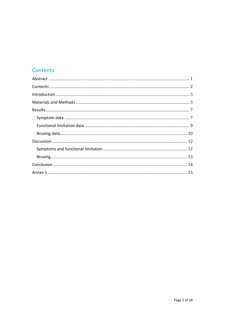# Contents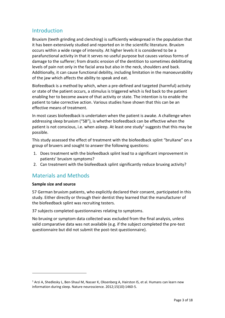## Introduction

Bruxism (teeth grinding and clenching) is sufficiently widespread in the population that it has been extensively studied and reported on in the scientific literature. Bruxism occurs within a wide range of intensity. At higher levels it is considered to be a parafunctional activity in that it serves no useful purpose but causes various forms of damage to the sufferer; from drastic erosion of the dentition to sometimes debilitating levels of pain not only in the facial area but also in the neck, shoulders and back. Additionally, it can cause functional debility, including limitation in the manoeuvrability of the jaw which affects the ability to speak and eat.

Biofeedback is a method by which, when a pre-defined and targeted (harmful) activity or state of the patient occurs, a stimulus is triggered which is fed back to the patient enabling her to become aware of that activity or state. The intention is to enable the patient to take corrective action. Various studies have shown that this can be an effective means of treatment.

In most cases biofeedback is undertaken when the patient is awake. A challenge when addressing sleep bruxism ("SB"), is whether biofeedback can be effective when the patient is not conscious, i.e. when asleep. At least one study<sup>1</sup> suggests that this may be possible.

This study assessed the effect of treatment with the biofeedback splint "bruXane" on a group of bruxers and sought to answer the following questions:

- 1. Does treatment with the biofeedback splint lead to a significant improvement in patients' bruxism symptoms?
- 2. Can treatment with the biofeedback splint significantly reduce bruxing activity?

# Materials and Methods

### **Sample size and source**

57 German bruxism patients, who explicitly declared their consent, participated in this study. Either directly or through their dentist they learned that the manufacturer of the biofeedback splint was recruiting testers.

37 subjects completed questionnaires relating to symptoms.

No bruxing or symptom data collected was excluded from the final analysis, unless valid comparative data was not available (e.g. if the subject completed the pre-test questionnaire but did not submit the post-test questionnaire).

<sup>&</sup>lt;sup>1</sup> Arzi A, Shedlesky L, Ben-Shaul M, Nasser K, Oksenberg A, Hairston IS, et al. Humans can learn new information during sleep. Nature neuroscience. 2012;15(10):1460-5.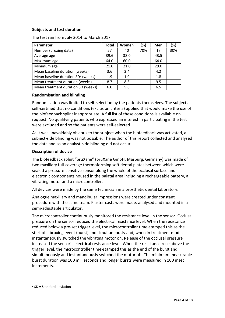#### **Subjects and test duration**

The test ran from July 2014 to March 2017.

| Parameter                            | Total | Women | (%) | Men  | (%) |
|--------------------------------------|-------|-------|-----|------|-----|
| Number (bruxing data)                | 57    | 40    | 70% | 17   | 30% |
| Average age                          | 39.6  | 38.0  |     | 43.5 |     |
| Maximum age                          | 64.0  | 60.0  |     | 64.0 |     |
| Minimum age                          | 21.0  | 21.0  |     | 29.0 |     |
| Mean baseline duration (weeks)       | 3.6   | 3.4   |     | 4.2  |     |
| Mean baseline duration $SD2$ (weeks) | 1.9   | 1.9   |     | 1.8  |     |
| Mean treatment duration (weeks)      | 8.7   | 8.3   |     | 9.5  |     |
| Mean treatment duration SD (weeks)   | 6.0   | 5.6   |     | 6.5  |     |

#### **Randomisation and blinding**

Randomisation was limited to self-selection by the patients themselves. The subjects self-certified that no conditions (exclusion criteria) applied that would make the use of the biofeedback splint inappropriate. A full list of these conditions is available on request. No qualifying patients who expressed an interest in participating in the test were excluded and so the patients were self-selected.

As it was unavoidably obvious to the subject when the biofeedback was activated, a subject-side blinding was not possible. The author of this report collected and analysed the data and so an analyst-side blinding did not occur.

#### **Description of device**

The biofeedback splint "bruXane" (bruXane GmbH, Marburg, Germany) was made of two maxillary full-coverage thermoforming soft dental plates between which were sealed a pressure-sensitive sensor along the whole of the occlusal surface and electronic components housed in the palatal area including a rechargeable battery, a vibrating motor and a microcontroller.

All devices were made by the same technician in a prosthetic dental laboratory.

Analogue maxillary and mandibular impressions were created under constant procedure with the same team. Plaster casts were made, analysed and mounted in a semi-adjustable articulator.

The microcontroller continuously monitored the resistance level in the sensor. Occlusal pressure on the sensor reduced the electrical resistance level. When the resistance reduced below a pre-set trigger level, the microcontroller time-stamped this as the start of a bruxing event (burst) and simultaneously and, when in treatment mode, instantaneously switched the vibrating motor on. Release of the occlusal pressure increased the sensor´s electrical resistance level. When the resistance rose above the trigger level, the microcontroller time-stamped this as the end of the burst and simultaneously and instantaneously switched the motor off. The minimum measurable burst duration was 100 milliseconds and longer bursts were measured in 100 msec. increments.

 $2$  SD = Standard deviation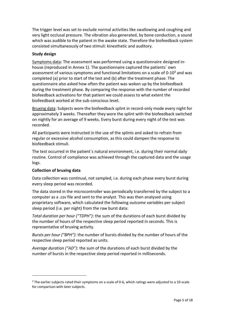The trigger level was set to exclude normal activities like swallowing and coughing and very light occlusal pressure. The vibration also generated, by bone conduction, a sound which was audible to the patient in the awake state. Therefore the biofeedback system consisted simultaneously of two stimuli: kinesthetic and auditory.

#### **Study design**

Symptoms data: The assessment was performed using a questionnaire designed in house (reproduced in Annex 1). The questionnaire captured the patients´ own assessment of various symptoms and functional limitations on a scale of 0-10<sup>3</sup> and was completed (a) prior to start of the test and (b) after the treatment phase. The questionnaire also asked how often the patient was woken up by the biofeedback during the treatment phase. By comparing the response with the number of recorded biofeedback activations for that patient we could assess to what extent the biofeedback worked at the sub-conscious level.

Bruxing data: Subjects wore the biofeedback splint in record-only mode every night for approximately 3 weeks. Thereafter they wore the splint with the biofeedback switched on nightly for an average of 9 weeks. Every burst during every night of the test was recorded.

All participants were instructed in the use of the splints and asked to refrain from regular or excessive alcohol consumption, as this could dampen the response to biofeedback stimuli.

The test occurred in the patient´s natural environment, i.e. during their normal daily routine. Control of compliance was achieved through the captured data and the usage logs.

### **Collection of bruxing data**

Data collection was continual, not sampled, i.e. during each phase every burst during every sleep period was recorded.

The data stored in the microcontroller was periodically transferred by the subject to a computer as a .csv file and sent to the analyst. This was then analysed using proprietary software, which calculated the following *outcome variables* per subject sleep period (i.e. per night) from the raw burst data:

*Total duration per hour ("TDPH")*: the sum of the durations of each burst divided by the number of hours of the respective sleep period reported in seconds. This is representative of bruxing activity.

*Bursts per hour ("BPH")*: the number of bursts divided by the number of hours of the respective sleep period reported as units.

*Average duration ("AD")*: the sum of the durations of each burst divided by the number of bursts in the respective sleep period reported in milliseconds.

 $3$  The earlier subjects rated their symptoms on a scale of 0-6, which ratings were adjusted to a 10-scale for comparison with later subjects.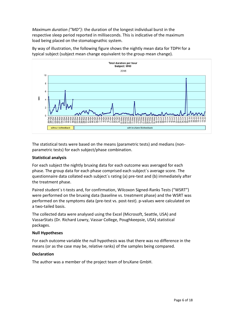*Maximum duration ("MD")*: the duration of the longest individual burst in the respective sleep period reported in milliseconds. This is indicative of the maximum load being placed on the stomatognathic system.



By way of illustration, the following figure shows the nightly mean data for TDPH for a typical subject (subject mean change equivalent to the group mean change).

The statistical tests were based on the means (parametric tests) and medians (non parametric tests) for each subject/phase combination.

#### **Statistical analysis**

For each subject the nightly bruxing data for each outcome was averaged for each phase. The group data for each phase comprised each subject´s average score. The questionnaire data collated each subject´s rating (a) pre-test and (b) immediately after the treatment phase.

Paired student´s t-tests and, for confirmation, Wilcoxon Signed-Ranks Tests ("WSRT") were performed on the bruxing data (baseline vs. treatment phase) and the WSRT was performed on the symptoms data (pre-test vs. post-test). p-values were calculated on a two-tailed basis.

The collected data were analysed using the Excel (Microsoft, Seattle, USA) and VassarStats (Dr. Richard Lowry, Vassar College, Poughkeepsie, USA) statistical packages.

#### **Null Hypotheses**

For each outcome variable the null hypothesis was that there was no difference in the means (or as the case may be, relative ranks) of the samples being compared.

#### **Declaration**

The author was a member of the project team of bruXane GmbH.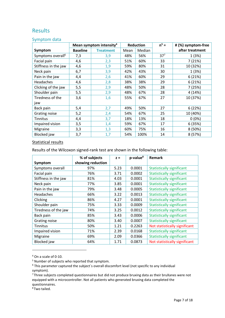# Results

#### Symptom data

|                               | Mean symptom intensity <sup>4</sup> | <b>Reduction</b> |      | $n^5 =$ | # (%) symptom-free |                 |
|-------------------------------|-------------------------------------|------------------|------|---------|--------------------|-----------------|
| Symptom                       | <b>Baseline</b>                     | <b>Treatment</b> | Mean | Median  |                    | after treatment |
| Symptoms overall <sup>6</sup> | 7,3                                 | 3,9              | 48%  | 56%     | $37^{7}$           | 1(3%)           |
| Facial pain                   | 4,6                                 | 2,3              | 51%  | 60%     | 33                 | 7 (21%)         |
| Stiffness in the jaw          | 4,6                                 | 1,9              | 59%  | 80%     | 31                 | 10 (32%)        |
| Neck pain                     | 6,7                                 | 3,9              | 42%  | 43%     | 30                 | 1(3%)           |
| Pain in the jaw               | 4,4                                 | 2,6              | 41%  | 60%     | 29                 | 6(21%)          |
| Headaches                     | 4,6                                 | 2,8              | 38%  | 38%     | 29                 | 6(21%)          |
| Clicking of the jaw           | 5,5                                 | 2,9              | 48%  | 50%     | 28                 | 7(25%)          |
| Shoulder pain                 | 5,5                                 | 2,9              | 48%  | 67%     | 28                 | 4(14%)          |
| Tiredness of the              | 3,6                                 | 1,6              | 55%  | 67%     | 27                 | 10 (37%)        |
| jaw                           |                                     |                  |      |         |                    |                 |
| Back pain                     | 5,4                                 | 2,7              | 49%  | 50%     | 27                 | 6(22%)          |
| Grating noise                 | 5,2                                 | 2,4              | 54%  | 67%     | 25                 | 10 (40%)        |
| Tinnitus                      | 4,4                                 | 3,7              | 18%  | 13%     | 18                 | $0(0\%)$        |
| Impaired vision               | 3,5                                 | 1,4              | 59%  | 67%     | 17                 | 6(35%)          |
| Migraine                      | 3,3                                 | 1,3              | 60%  | 75%     | 16                 | 8 (50%)         |
| Blocked jaw                   | 3,7                                 | 1,7              | 54%  | 100%    | 14                 | 8 (57%)         |

#### Statistical results

Results of the Wilcoxon signed-rank test are shown in the following table:

|                      | % of subjects     | $7 =$ | p-value <sup>8</sup> | Remark                           |
|----------------------|-------------------|-------|----------------------|----------------------------------|
| Symptom              | showing reduction |       |                      |                                  |
| Symptoms overall     | 97%               | 5.23  | 0.0001               | <b>Statistically significant</b> |
| Facial pain          | 76%               | 3.71  | 0.0002               | <b>Statistically significant</b> |
| Stiffness in the jaw | 81%               | 4.03  | 0.0001               | <b>Statistically significant</b> |
| Neck pain            | 77%               | 3.85  | 0.0001               | <b>Statistically significant</b> |
| Pain in the jaw      | 79%               | 3.48  | 0.0005               | <b>Statistically significant</b> |
| <b>Headaches</b>     | 66%               | 3.22  | 0.0013               | <b>Statistically significant</b> |
| Clicking             | 86%               | 4.27  | 0.0001               | <b>Statistically significant</b> |
| Shoulder pain        | 75%               | 3.33  | 0.0009               | <b>Statistically significant</b> |
| Tiredness of the jaw | 74%               | 3.25  | 0.0012               | <b>Statistically significant</b> |
| Back pain            | 85%               | 3.43  | 0.0006               | <b>Statistically significant</b> |
| Grating noise        | 80%               | 3.40  | 0.0007               | <b>Statistically significant</b> |
| Tinnitus             | 50%               | 1.21  | 0.2263               | Not statistically significant    |
| Impaired vision      | 71%               | 2.39  | 0.0168               | <b>Statistically significant</b> |
| Migraine             | 69%               | 2.09  | 0.0366               | <b>Statistically significant</b> |
| Blocked jaw          | 64%               | 1.71  | 0.0873               | Not statistically significant    |

<sup>4</sup> On a scale of 0-10.

<sup>8</sup> Two tailed.

<sup>5</sup> Number of subjects who reported that symptom.

<sup>&</sup>lt;sup>6</sup> This parameter captured the subject's overall discomfort level (not specific to any individual

symptom).

 $7$ Three subjects completed questionnaires but did not produce bruxing data as their bruXanes were not equipped with a microcontroller. Not all patients who generated bruxing data completed the questionnaires.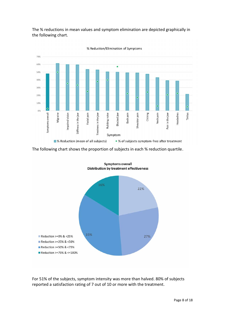The % reductions in mean values and symptom elimination are depicted graphically in the following chart.



The following chart shows the proportion of subjects in each % reduction quartile.



**Symptoms overall** 

For 51% of the subjects, symptom intensity was more than halved. 80% of subjects reported a satisfaction rating of 7 out of 10 or more with the treatment.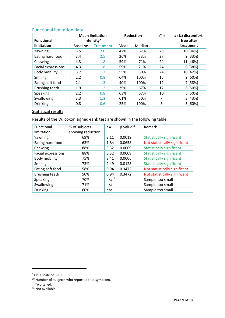### Functional limitation data

| <b>Functional</b>  |                 | <b>Mean limitation</b><br>intensity <sup>9</sup> |                | <b>Reduction</b> | $n^{10} =$ | # (%) discomfort-<br>free after |  |
|--------------------|-----------------|--------------------------------------------------|----------------|------------------|------------|---------------------------------|--|
| limitation         | <b>Baseline</b> | <b>Treatment</b>                                 | Median<br>Mean |                  |            | treatment                       |  |
| Yawning            | 3.5             | 2.0                                              | 42%            | 67%              | 29         | 10 (34%)                        |  |
| Eating hard food   | 3.4             | 2.5                                              | 26%            | 33%              | 27         | 9(33%)                          |  |
| Chewing            | 4.3             | 1.8                                              | 59%            | 71%              | 24         | 11 (46%)                        |  |
| Facial expressions | 4.3             | 1.8                                              | 59%            | 71%              | 24         | 6(38%)                          |  |
| Body mobility      | 3.7             | 1.7                                              | 55%            | 50%              | 24         | 10 (42%)                        |  |
| Smiling            | 2.2             | 0.8                                              | 64%            | 100%             | 15         | 9(60%)                          |  |
| Eating soft food   | 2.1             | 1.3                                              | 40%            | 100%             | 12         | 7 (58%)                         |  |
| Brushing teeth     | 1.9             | 1.2                                              | 39%            | 67%              | 12         | 6(50%)                          |  |
| Speaking           | 2.2             | 0.8                                              | 63%            | 67%              | 10         | 5(50%)                          |  |
| Swallowing         | 3.3             | 1.3                                              | 61%            | 50%              | 7          | 3(43%)                          |  |
| <b>Drinking</b>    | 0.8             | 0.6                                              | 25%            | 100%             | 5          | 3(60%)                          |  |

### Statistical results

Results of the Wilcoxon signed-rank test are shown in the following table:

| Functional         | % of subjects     | $Z =$      | p-value <sup>11</sup> | Remark                           |
|--------------------|-------------------|------------|-----------------------|----------------------------------|
| limitation         | showing reduction |            |                       |                                  |
| Yawning            | 69%               | 3.11       | 0.0019                | <b>Statistically significant</b> |
| Eating hard food   | 63%               | 1.84       | 0.0658                | Not statistically significant    |
| Chewing            | 88%               | 3.32       | 0.0009                | <b>Statistically significant</b> |
| Facial expressions | 88%               | 3.32       | 0.0009                | <b>Statistically significant</b> |
| Body mobility      | 75%               | 3.41       | 0.0006                | <b>Statistically significant</b> |
| Smiling            | 73%               | 2.49       | 0.0128                | <b>Statistically significant</b> |
| Eating soft food   | 58%               | 0.94       | 0.3472                | Not statistically significant    |
| Brushing teeth     | 50%               | 0.94       | 0.3472                | Not statistically significant    |
| Speaking           | 70%               | $n/a^{12}$ |                       | Sample too small                 |
| Swallowing         | 71%               | n/a        |                       | Sample too small                 |
| <b>Drinking</b>    | 60%               | n/a        |                       | Sample too small                 |

<sup>9</sup> On a scale of 0-10.

<sup>&</sup>lt;sup>10</sup> Number of subjects who reported that symptom.

 $11$  Two tailed.

<sup>12</sup> Not available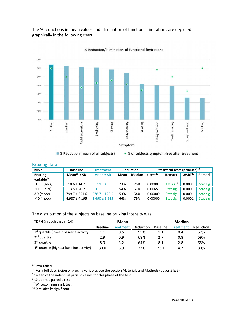The % reductions in mean values and elimination of functional limitations are depicted graphically in the following chart.



% Reduction/Elimination of functional limitations

#### Bruxing data

| _ . _ _                                  |                             |                   |                  |               |                                      |                        |                    |          |  |
|------------------------------------------|-----------------------------|-------------------|------------------|---------------|--------------------------------------|------------------------|--------------------|----------|--|
| $n=57$                                   | <b>Baseline</b>             | <b>Treatment</b>  | <b>Reduction</b> |               | Statistical tests (p values) $^{13}$ |                        |                    |          |  |
| <b>Bruxing</b><br>variable <sup>14</sup> | Mean <sup>15</sup> $\pm$ SD | Mean ± SD         | Mean             | <b>Median</b> | t-test <sup>16</sup>                 | Remark                 | WSRT <sup>17</sup> | Remark   |  |
| TDPH (secs)                              | $10.6 \pm 14.7$             | $2.9 \pm 4.6$     | 73%              | 76%           | 0.00001                              | Stat sig <sup>18</sup> | 0.0001             | Stat sig |  |
| BPH (units)                              | $13.5 \pm 20.7$             | $6.1 \pm 6.9$     | 54%              | 57%           | 0.00653                              | Stat sig               | 0.0001             | Stat sig |  |
| AD (msec)                                | 799.7 ± 351.6               | $378.7 \pm 126.5$ | 53%              | 54%           | 0.00000                              | Stat sig               | 0.0001             | Stat sig |  |
| MD (msec)                                | $4,987 \pm 4,195$           | $1.690 \pm 1.945$ | 66%              | 79%           | 0.00000                              | Stat sig               | 0.0001             | Stat sig |  |

The distribution of the subjects by baseline bruxing intensity was:

| <b>TDPH</b> (in each case n=14)                      | Mean            |                  |                  | <b>Median</b>   |                  |                  |  |
|------------------------------------------------------|-----------------|------------------|------------------|-----------------|------------------|------------------|--|
|                                                      | <b>Baseline</b> | <b>Treatment</b> | <b>Reduction</b> | <b>Baseline</b> | <b>Treatment</b> | <b>Reduction</b> |  |
| $1st$ quartile (lowest baseline activity)            | 1.1             | 0.5              | 55%              | 1.1             | 0.4              | 62%              |  |
| 2 <sup>nd</sup> quartile                             | 2.9             | 0.9              | 68%              | 2.7             | 0.8              | 69%              |  |
| 3 <sup>rd</sup> quartile                             | 8.9             | 3.2              | 64%              | 8.1             | 2.8              | 65%              |  |
| 4 <sup>th</sup> quartile (highest baseline activity) | 30.0            | 6.9              | 77%              | 23.1            | 4.7              | 80%              |  |

<sup>13</sup> Two-tailed

<sup>14</sup> For a full description of bruxing variables see the section Materials and Methods (pages 5 & 6)

<sup>&</sup>lt;sup>15</sup> Mean of the individual patient values for this phase of the test.

<sup>&</sup>lt;sup>16</sup> Student's paired t-test

<sup>17</sup> Wilcoxon Sign-rank test

<sup>&</sup>lt;sup>18</sup> Statistically significant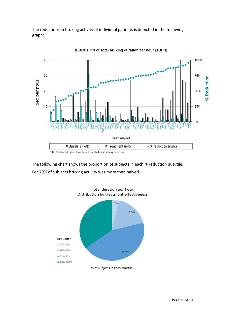The reductions in bruxing activity of individual patients is depicted in the following graph:



REDUCTION of Total bruxing duration per hour (TDPH)

The following chart shows the proportion of subjects in each % reduction quartile. For 79% of subjects bruxing activity was more than halved.

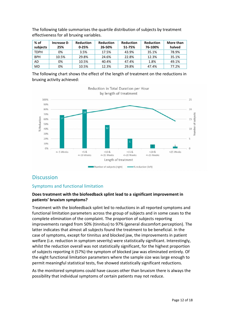| $%$ of<br>subjects | Increase 0-<br>25% | <b>Reduction</b><br>$0 - 25%$ | <b>Reduction</b><br>26-50% | <b>Reduction</b><br>51-75% | <b>Reduction</b><br>76-100% | More than<br>halved |
|--------------------|--------------------|-------------------------------|----------------------------|----------------------------|-----------------------------|---------------------|
| <b>TDPH</b>        | 0%                 | 3.5%                          | 17.5%                      | 43.9%                      | 35.1%                       | 78.9%               |
| <b>BPH</b>         | 10.5%              | 29.8%                         | 24.6%                      | 22.8%                      | 12.3%                       | 35.1%               |
| AD                 | 0%                 | 10.5%                         | 40.4%                      | 47.4%                      | 1.8%                        | 49.1%               |
| <b>MD</b>          | 0%                 | 10.5%                         | 12.3%                      | 29.8%                      | 47.4%                       | 77.2%               |

The following table summarises the quartile distribution of subjects by treatment effectiveness for all bruxing variables.

The following chart shows the effect of the length of treatment on the reductions in bruxing activity achieved:



## **Discussion**

### Symptoms and functional limitation

### **Does treatment with the biofeedback splint lead to a significant improvement in patients' bruxism symptoms?**

Treatment with the biofeedback splint led to reductions in all reported symptoms and functional limitation parameters across the group of subjects and in some cases to the complete elimination of the complaint. The proportion of subjects reporting improvements ranged from 50% (tinnitus) to 97% (general discomfort perception). The latter indicates that almost all subjects found the treatment to be beneficial. In the case of symptoms, except for tinnitus and blocked jaw, the improvements in patient welfare (i.e. reduction in symptom severity) were statistically significant. Interestingly, whilst the reduction overall was not statistically significant, for the highest proportion of subjects reporting it (57%) the symptom of blocked jaw was eliminated entirely. Of the eight functional limitation parameters where the sample size was large enough to permit meaningful statistical tests, five showed statistically significant reductions.

As the monitored symptoms could have causes other than bruxism there is always the possibility that individual symptoms of certain patients may not reduce.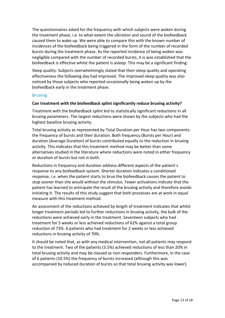The questionnaires asked for the frequency with which subjects were woken during the treatment phase, i.e. to what extent the vibration and sound of the biofeedback caused them to wake up. We were able to compare this with the known number of incidences of the biofeedback being triggered in the form of the number of recorded bursts during the treatment phase. As the reported incidence of being woken was negligible compared with the number of recorded bursts, it is was established that the biofeedback is effective whilst the patient is asleep. This may be a significant finding.

Sleep quality: Subjects overwhelmingly stated that their sleep quality and operating effectiveness the following day had improved. The improved sleep quality was also noticed by those subjects who reported occasionally being woken up by the biofeedback early in the treatment phase.

#### Bruxing

#### **Can treatment with the biofeedback splint significantly reduce bruxing activity?**

Treatment with the biofeedback splint led to statistically significant reductions in all bruxing parameters. The largest reductions were shown by the subjects who had the highest baseline bruxing activity.

Total bruxing activity as represented by Total Duration per Hour has two components: the frequency of bursts and their duration. Both frequency (Bursts per Hour) and duration (Average Duration) of bursts contributed equally to the reduction in bruxing activity. This indicates that this treatment method may be better than some alternatives studied in the literature where reductions were noted in either frequency or duration of bursts but not in both.

Reductions in frequency and duration address different aspects of the patient´s response to any biofeedback system. Shorter duration indicates a conditioned response, i.e. when the patient starts to brux the biofeedback causes the patient to stop sooner than she would without the stimulus. Fewer activations indicate that the patient has learned to anticipate the result of the bruxing activity and therefore avoids initiating it. The results of this study suggest that both processes are at work in equal measure with this treatment method.

An assessment of the reductions achieved by length of treatment indicates that whilst longer treatment periods led to further reductions in bruxing activity, the bulk of the reductions were achieved early in the treatment. Seventeen subjects who had treatment for 5 weeks or less achieved reductions of 62% against a total group reduction of 73%. 6 patients who had treatment for 2 weeks or less achieved reductions in bruxing activity of 70%.

It should be noted that, as with any medical intervention, not all patients may respond to the treatment. Two of the patients (3.5%) achieved reductions of less than 20% in total bruxing activity and may be classed as non-responders. Furthermore, in the case of 6 patients (10.5%) the frequency of bursts increased (although this was accompanied by reduced duration of bursts so that total bruxing activity was lower).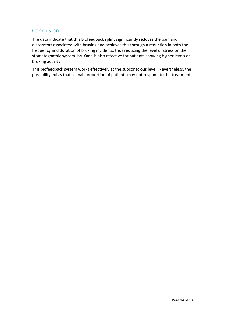# **Conclusion**

The data indicate that this biofeedback splint significantly reduces the pain and discomfort associated with bruxing and achieves this through a reduction in both the frequency and duration of bruxing incidents, thus reducing the level of stress on the stomatognathic system. bruXane is also effective for patients showing higher levels of bruxing activity.

This biofeedback system works effectively at the subconscious level. Nevertheless, the possibility exists that a small proportion of patients may not respond to the treatment.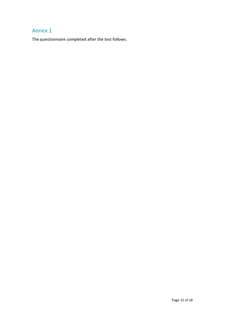# Annex 1

The questionnaire completed after the test follows.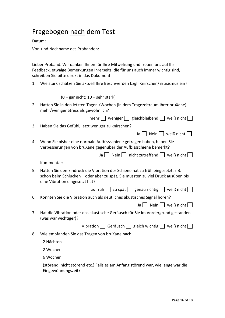# Fragebogen nach dem Test

Datum:

Vor- und Nachname des Probanden:

Lieber Proband. Wir danken Ihnen für Ihre Mitwirkung und freuen uns auf Ihr Feedback, etwaige Bemerkungen Ihrerseits, die für uns auch immer wichtig sind, schreiben Sie bitte direkt in das Dokument.

1. Wie stark schätzen Sie aktuell Ihre Beschwerden bzgl. Knirschen/Bruxismus ein?

 $(0 = \text{gar nicht}; 10 = \text{sehr stark})$ 

2. Hatten Sie in den letzten Tagen /Wochen (in dem Tragezeitraum Ihrer bruXane) mehr/weniger Stress als gewöhnlich?

mehr weniger  $\Box$  gleichbleibend  $\Box$  weiß nicht  $\Box$ 

- 3. Haben Sie das Gefühl, jetzt weniger zu knirschen?
- 4. Wenn Sie bisher eine normale Aufbissschiene getragen haben, haben Sie Verbesserungen von bruXane gegenüber der Aufbissschiene bemerkt?

|  | Ja $\Box$ Nein $\Box$ nicht zutreffend $\Box$ weiß nicht $\Box$ |  |
|--|-----------------------------------------------------------------|--|
|--|-----------------------------------------------------------------|--|

Kommentar:

- 5. Hatten Sie den Eindruck die Vibration der Schiene hat zu früh eingesetzt, z.B. schon beim Schlucken – oder aber zu spät, Sie mussten zu viel Druck ausüben bis eine Vibration eingesetzt hat?
	- zu früh  $\Box$  zu spät  $\Box$  genau richtig  $\Box$  weiß nicht  $\Box$
- 6. Konnten Sie die Vibration auch als deutliches akustisches Signal hören?
	- Ja  $\Box$  Nein  $\Box$  weiß nicht  $\Box$

Ja  $\Box$  Nein  $\Box$  weiß nicht  $\Box$ 

7. Hat die Vibration oder das akustische Geräusch für Sie im Vordergrund gestanden (was war wichtiger)?

Vibration Geräusch  $\Box$  gleich wichtig  $\Box$  weiß nicht  $\Box$ 8. Wie empfanden Sie das Tragen von bruXane nach: 2 Nächten

2 Wochen

6 Wochen

(störend, nicht störend etc.) Falls es am Anfang störend war, wie lange war die Eingewöhnungszeit?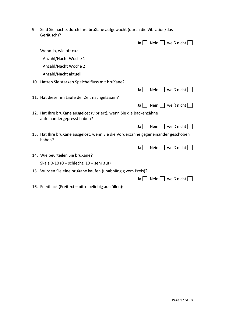9. Sind Sie nachts durch Ihre bruXane aufgewacht (durch die Vibration/das Geräusch)?

| Ja                                                                                                | weiß nicht<br>$Nein$        |
|---------------------------------------------------------------------------------------------------|-----------------------------|
| Wenn Ja, wie oft ca.:                                                                             |                             |
| Anzahl/Nacht Woche 1                                                                              |                             |
| Anzahl/Nacht Woche 2                                                                              |                             |
| Anzahl/Nacht aktuell                                                                              |                             |
| 10. Hatten Sie starken Speichelfluss mit bruXane?                                                 |                             |
| Ja l                                                                                              | $\left  \right $ weiß nicht |
| 11. Hat dieser im Laufe der Zeit nachgelassen?                                                    |                             |
| Ja l                                                                                              | weiß nicht $ $<br>$Nein$    |
| 12. Hat Ihre bruXane ausgelöst (vibriert), wenn Sie die Backenzähne<br>aufeinandergepresst haben? |                             |
| Ja l                                                                                              | weiß nicht $ $<br>$Nein$    |
| 13. Hat Ihre bruXane ausgelöst, wenn Sie die Vorderzähne gegeneinander geschoben<br>haben?        |                             |
| Ja l                                                                                              | weiß nicht $ $<br>$Nein$    |
| 14. Wie beurteilen Sie bruXane?                                                                   |                             |
| Skala 0-10 (0 = schlecht; $10 =$ sehr gut)                                                        |                             |
| 15. Würden Sie eine bruXane kaufen (unabhängig vom Preis)?                                        |                             |
| Ja                                                                                                | weiß nicht<br>Nein          |
| 16. Feedback (Freitext – bitte beliebig ausfüllen):                                               |                             |